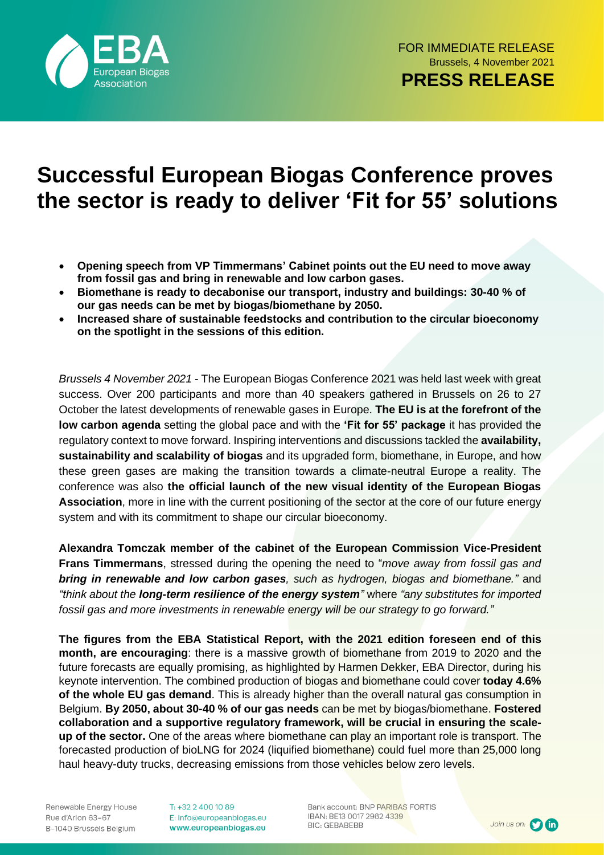

## **Successful European Biogas Conference proves the sector is ready to deliver 'Fit for 55' solutions**

- **Opening speech from VP Timmermans' Cabinet points out the EU need to move away from fossil gas and bring in renewable and low carbon gases.**
- **Biomethane is ready to decabonise our transport, industry and buildings: 30-40 % of our gas needs can be met by biogas/biomethane by 2050.**
- **Increased share of sustainable feedstocks and contribution to the circular bioeconomy on the spotlight in the sessions of this edition.**

*Brussels 4 November 2021* - The European Biogas Conference 2021 was held last week with great success. Over 200 participants and more than 40 speakers gathered in Brussels on 26 to 27 October the latest developments of renewable gases in Europe. **The EU is at the forefront of the low carbon agenda** setting the global pace and with the **'Fit for 55' package** it has provided the regulatory context to move forward. Inspiring interventions and discussions tackled the **availability, sustainability and scalability of biogas** and its upgraded form, biomethane, in Europe, and how these green gases are making the transition towards a climate-neutral Europe a reality. The conference was also **the official launch of the new visual identity of the European Biogas Association**, more in line with the current positioning of the sector at the core of our future energy system and with its commitment to shape our circular bioeconomy.

**Alexandra Tomczak member of the cabinet of the European Commission Vice-President Frans Timmermans**, stressed during the opening the need to "*move away from fossil gas and bring in renewable and low carbon gases, such as hydrogen, biogas and biomethane."* and *"think about the long-term resilience of the energy system"* where *"any substitutes for imported fossil gas and more investments in renewable energy will be our strategy to go forward."*

**The figures from the EBA Statistical Report, with the 2021 edition foreseen end of this month, are encouraging**: there is a massive growth of biomethane from 2019 to 2020 and the future forecasts are equally promising, as highlighted by Harmen Dekker, EBA Director, during his keynote intervention. The combined production of biogas and biomethane could cover **today 4.6% of the whole EU gas demand**. This is already higher than the overall natural gas consumption in Belgium. **By 2050, about 30-40 % of our gas needs** can be met by biogas/biomethane. **Fostered collaboration and a supportive regulatory framework, will be crucial in ensuring the scaleup of the sector.** One of the areas where biomethane can play an important role is transport. The forecasted production of bioLNG for 2024 (liquified biomethane) could fuel more than 25,000 long haul heavy-duty trucks, decreasing emissions from those vehicles below zero levels.

Renewable Energy House Rue d'Arlon 63-67 B-1040 Brussels Belgium T: +32 2 400 10 89 E: info@europeanbiogas.eu www.europeanbiogas.eu

Bank account: BNP PARIBAS FORTIS IBAN: BE13 0017 2982 4339 **BIC: GEBABEBB** 

Join us on: 0 th